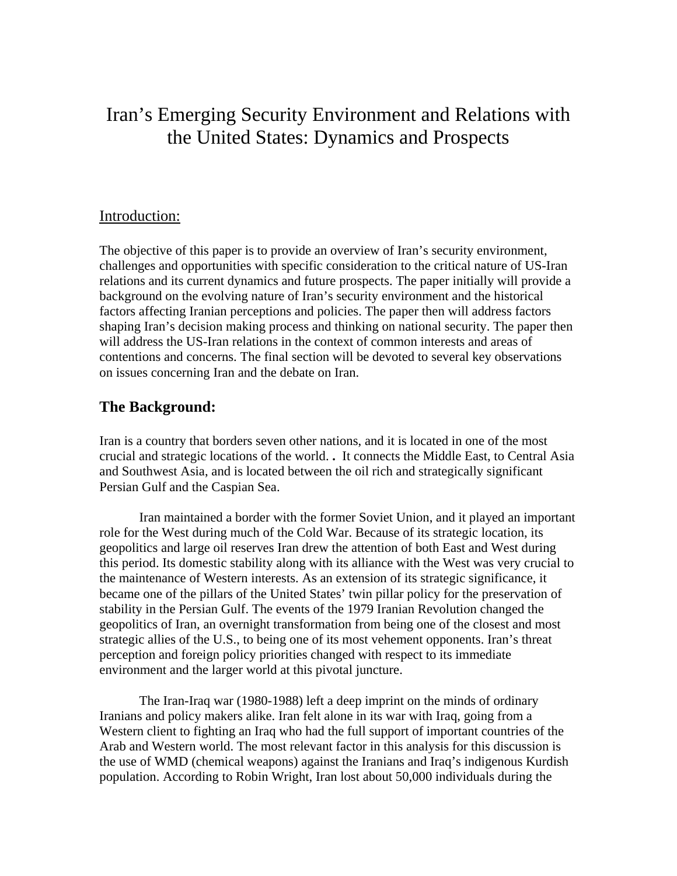# Iran's Emerging Security Environment and Relations with the United States: Dynamics and Prospects

### Introduction:

The objective of this paper is to provide an overview of Iran's security environment, challenges and opportunities with specific consideration to the critical nature of US-Iran relations and its current dynamics and future prospects. The paper initially will provide a background on the evolving nature of Iran's security environment and the historical factors affecting Iranian perceptions and policies. The paper then will address factors shaping Iran's decision making process and thinking on national security. The paper then will address the US-Iran relations in the context of common interests and areas of contentions and concerns. The final section will be devoted to several key observations on issues concerning Iran and the debate on Iran.

### **The Background:**

Iran is a country that borders seven other nations, and it is located in one of the most crucial and strategic locations of the world. **.** It connects the Middle East, to Central Asia and Southwest Asia, and is located between the oil rich and strategically significant Persian Gulf and the Caspian Sea.

Iran maintained a border with the former Soviet Union, and it played an important role for the West during much of the Cold War. Because of its strategic location, its geopolitics and large oil reserves Iran drew the attention of both East and West during this period. Its domestic stability along with its alliance with the West was very crucial to the maintenance of Western interests. As an extension of its strategic significance, it became one of the pillars of the United States' twin pillar policy for the preservation of stability in the Persian Gulf. The events of the 1979 Iranian Revolution changed the geopolitics of Iran, an overnight transformation from being one of the closest and most strategic allies of the U.S., to being one of its most vehement opponents. Iran's threat perception and foreign policy priorities changed with respect to its immediate environment and the larger world at this pivotal juncture.

The Iran-Iraq war (1980-1988) left a deep imprint on the minds of ordinary Iranians and policy makers alike. Iran felt alone in its war with Iraq, going from a Western client to fighting an Iraq who had the full support of important countries of the Arab and Western world. The most relevant factor in this analysis for this discussion is the use of WMD (chemical weapons) against the Iranians and Iraq's indigenous Kurdish population. According to Robin Wright, Iran lost about 50,000 individuals during the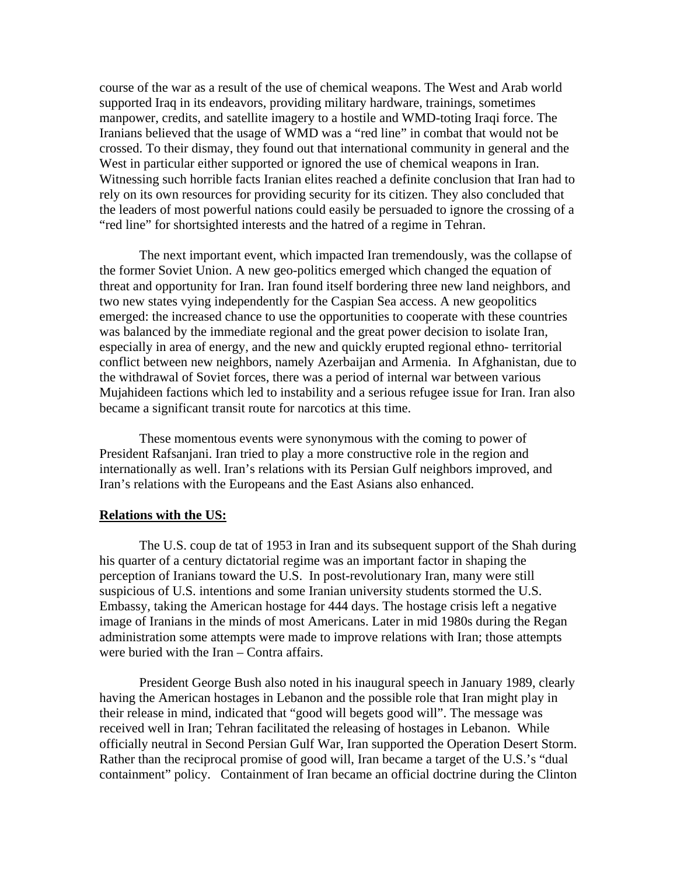course of the war as a result of the use of chemical weapons. The West and Arab world supported Iraq in its endeavors, providing military hardware, trainings, sometimes manpower, credits, and satellite imagery to a hostile and WMD-toting Iraqi force. The Iranians believed that the usage of WMD was a "red line" in combat that would not be crossed. To their dismay, they found out that international community in general and the West in particular either supported or ignored the use of chemical weapons in Iran. Witnessing such horrible facts Iranian elites reached a definite conclusion that Iran had to rely on its own resources for providing security for its citizen. They also concluded that the leaders of most powerful nations could easily be persuaded to ignore the crossing of a "red line" for shortsighted interests and the hatred of a regime in Tehran.

The next important event, which impacted Iran tremendously, was the collapse of the former Soviet Union. A new geo-politics emerged which changed the equation of threat and opportunity for Iran. Iran found itself bordering three new land neighbors, and two new states vying independently for the Caspian Sea access. A new geopolitics emerged: the increased chance to use the opportunities to cooperate with these countries was balanced by the immediate regional and the great power decision to isolate Iran, especially in area of energy, and the new and quickly erupted regional ethno- territorial conflict between new neighbors, namely Azerbaijan and Armenia. In Afghanistan, due to the withdrawal of Soviet forces, there was a period of internal war between various Mujahideen factions which led to instability and a serious refugee issue for Iran. Iran also became a significant transit route for narcotics at this time.

These momentous events were synonymous with the coming to power of President Rafsanjani. Iran tried to play a more constructive role in the region and internationally as well. Iran's relations with its Persian Gulf neighbors improved, and Iran's relations with the Europeans and the East Asians also enhanced.

#### **Relations with the US:**

The U.S. coup de tat of 1953 in Iran and its subsequent support of the Shah during his quarter of a century dictatorial regime was an important factor in shaping the perception of Iranians toward the U.S. In post-revolutionary Iran, many were still suspicious of U.S. intentions and some Iranian university students stormed the U.S. Embassy, taking the American hostage for 444 days. The hostage crisis left a negative image of Iranians in the minds of most Americans. Later in mid 1980s during the Regan administration some attempts were made to improve relations with Iran; those attempts were buried with the Iran – Contra affairs.

President George Bush also noted in his inaugural speech in January 1989, clearly having the American hostages in Lebanon and the possible role that Iran might play in their release in mind, indicated that "good will begets good will". The message was received well in Iran; Tehran facilitated the releasing of hostages in Lebanon. While officially neutral in Second Persian Gulf War, Iran supported the Operation Desert Storm. Rather than the reciprocal promise of good will, Iran became a target of the U.S.'s "dual containment" policy. Containment of Iran became an official doctrine during the Clinton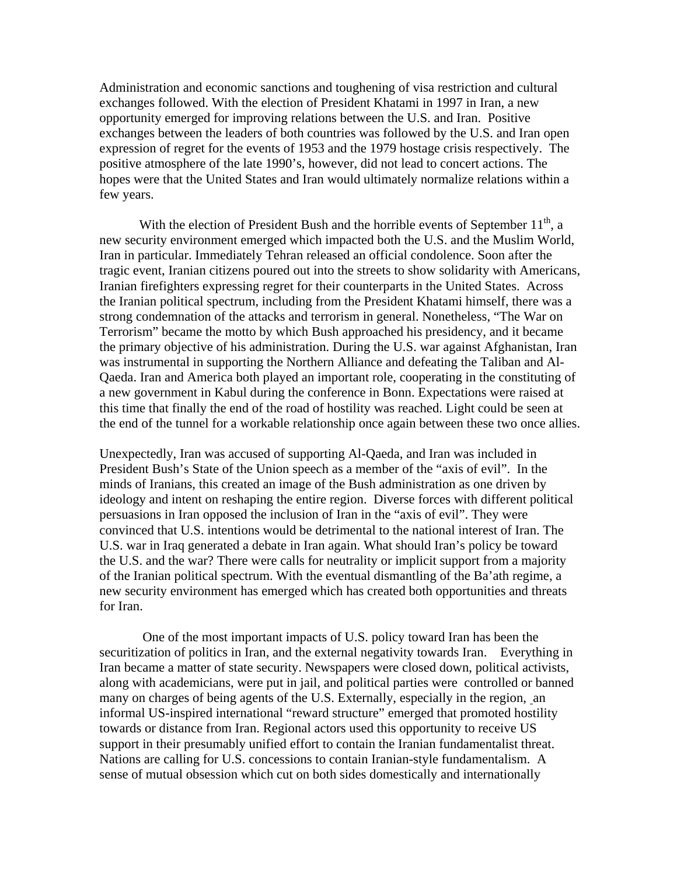Administration and economic sanctions and toughening of visa restriction and cultural exchanges followed. With the election of President Khatami in 1997 in Iran, a new opportunity emerged for improving relations between the U.S. and Iran. Positive exchanges between the leaders of both countries was followed by the U.S. and Iran open expression of regret for the events of 1953 and the 1979 hostage crisis respectively. The positive atmosphere of the late 1990's, however, did not lead to concert actions. The hopes were that the United States and Iran would ultimately normalize relations within a few years.

With the election of President Bush and the horrible events of September  $11<sup>th</sup>$ , a new security environment emerged which impacted both the U.S. and the Muslim World, Iran in particular. Immediately Tehran released an official condolence. Soon after the tragic event, Iranian citizens poured out into the streets to show solidarity with Americans, Iranian firefighters expressing regret for their counterparts in the United States. Across the Iranian political spectrum, including from the President Khatami himself, there was a strong condemnation of the attacks and terrorism in general. Nonetheless, "The War on Terrorism" became the motto by which Bush approached his presidency, and it became the primary objective of his administration. During the U.S. war against Afghanistan, Iran was instrumental in supporting the Northern Alliance and defeating the Taliban and Al-Qaeda. Iran and America both played an important role, cooperating in the constituting of a new government in Kabul during the conference in Bonn. Expectations were raised at this time that finally the end of the road of hostility was reached. Light could be seen at the end of the tunnel for a workable relationship once again between these two once allies.

Unexpectedly, Iran was accused of supporting Al-Qaeda, and Iran was included in President Bush's State of the Union speech as a member of the "axis of evil". In the minds of Iranians, this created an image of the Bush administration as one driven by ideology and intent on reshaping the entire region. Diverse forces with different political persuasions in Iran opposed the inclusion of Iran in the "axis of evil". They were convinced that U.S. intentions would be detrimental to the national interest of Iran. The U.S. war in Iraq generated a debate in Iran again. What should Iran's policy be toward the U.S. and the war? There were calls for neutrality or implicit support from a majority of the Iranian political spectrum. With the eventual dismantling of the Ba'ath regime, a new security environment has emerged which has created both opportunities and threats for Iran.

 One of the most important impacts of U.S. policy toward Iran has been the securitization of politics in Iran, and the external negativity towards Iran. Everything in Iran became a matter of state security. Newspapers were closed down, political activists, along with academicians, were put in jail, and political parties were controlled or banned many on charges of being agents of the U.S. Externally, especially in the region, an informal US-inspired international "reward structure" emerged that promoted hostility towards or distance from Iran. Regional actors used this opportunity to receive US support in their presumably unified effort to contain the Iranian fundamentalist threat. Nations are calling for U.S. concessions to contain Iranian-style fundamentalism. A sense of mutual obsession which cut on both sides domestically and internationally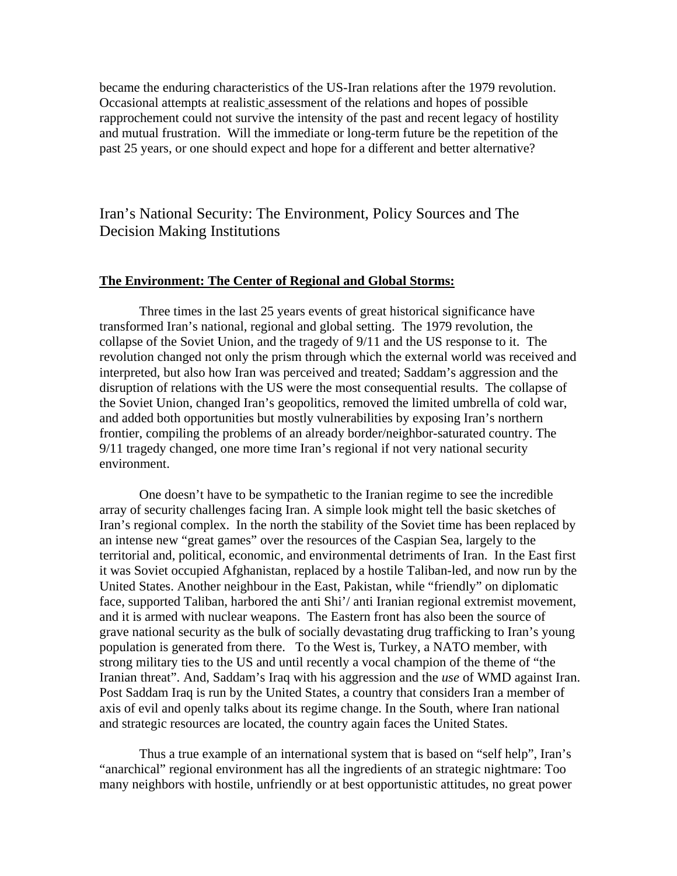became the enduring characteristics of the US-Iran relations after the 1979 revolution. Occasional attempts at realistic assessment of the relations and hopes of possible rapprochement could not survive the intensity of the past and recent legacy of hostility and mutual frustration. Will the immediate or long-term future be the repetition of the past 25 years, or one should expect and hope for a different and better alternative?

Iran's National Security: The Environment, Policy Sources and The Decision Making Institutions

#### **The Environment: The Center of Regional and Global Storms:**

Three times in the last 25 years events of great historical significance have transformed Iran's national, regional and global setting. The 1979 revolution, the collapse of the Soviet Union, and the tragedy of 9/11 and the US response to it. The revolution changed not only the prism through which the external world was received and interpreted, but also how Iran was perceived and treated; Saddam's aggression and the disruption of relations with the US were the most consequential results. The collapse of the Soviet Union, changed Iran's geopolitics, removed the limited umbrella of cold war, and added both opportunities but mostly vulnerabilities by exposing Iran's northern frontier, compiling the problems of an already border/neighbor-saturated country. The 9/11 tragedy changed, one more time Iran's regional if not very national security environment.

One doesn't have to be sympathetic to the Iranian regime to see the incredible array of security challenges facing Iran. A simple look might tell the basic sketches of Iran's regional complex. In the north the stability of the Soviet time has been replaced by an intense new "great games" over the resources of the Caspian Sea, largely to the territorial and, political, economic, and environmental detriments of Iran. In the East first it was Soviet occupied Afghanistan, replaced by a hostile Taliban-led, and now run by the United States. Another neighbour in the East, Pakistan, while "friendly" on diplomatic face, supported Taliban, harbored the anti Shi'/ anti Iranian regional extremist movement, and it is armed with nuclear weapons. The Eastern front has also been the source of grave national security as the bulk of socially devastating drug trafficking to Iran's young population is generated from there. To the West is, Turkey, a NATO member, with strong military ties to the US and until recently a vocal champion of the theme of "the Iranian threat". And, Saddam's Iraq with his aggression and the *use* of WMD against Iran. Post Saddam Iraq is run by the United States, a country that considers Iran a member of axis of evil and openly talks about its regime change. In the South, where Iran national and strategic resources are located, the country again faces the United States.

Thus a true example of an international system that is based on "self help", Iran's "anarchical" regional environment has all the ingredients of an strategic nightmare: Too many neighbors with hostile, unfriendly or at best opportunistic attitudes, no great power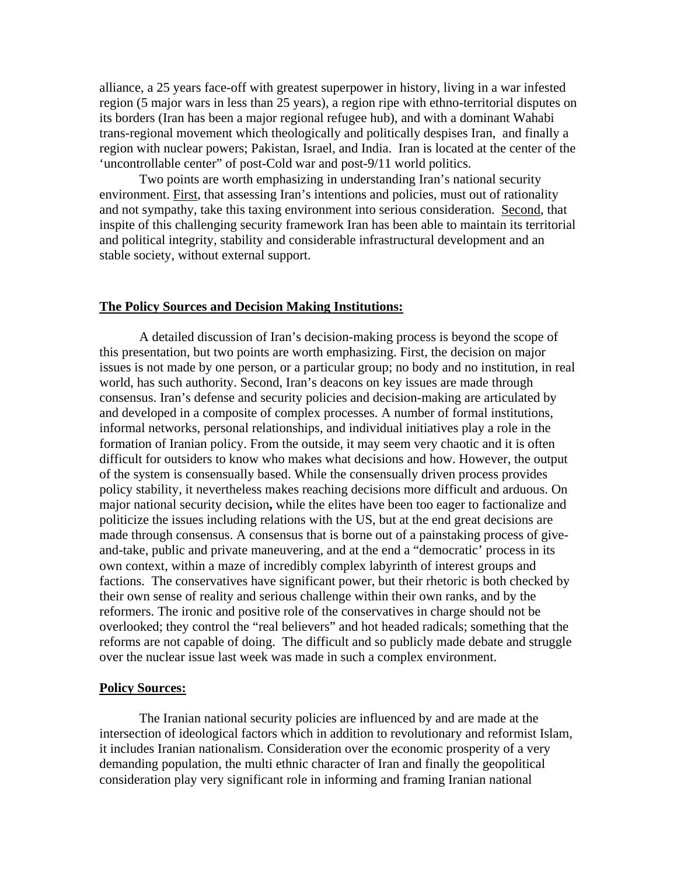alliance, a 25 years face-off with greatest superpower in history, living in a war infested region (5 major wars in less than 25 years), a region ripe with ethno-territorial disputes on its borders (Iran has been a major regional refugee hub), and with a dominant Wahabi trans-regional movement which theologically and politically despises Iran, and finally a region with nuclear powers; Pakistan, Israel, and India. Iran is located at the center of the 'uncontrollable center" of post-Cold war and post-9/11 world politics.

Two points are worth emphasizing in understanding Iran's national security environment. First, that assessing Iran's intentions and policies, must out of rationality and not sympathy, take this taxing environment into serious consideration. Second, that inspite of this challenging security framework Iran has been able to maintain its territorial and political integrity, stability and considerable infrastructural development and an stable society, without external support.

#### **The Policy Sources and Decision Making Institutions:**

A detailed discussion of Iran's decision-making process is beyond the scope of this presentation, but two points are worth emphasizing. First, the decision on major issues is not made by one person, or a particular group; no body and no institution, in real world, has such authority. Second, Iran's deacons on key issues are made through consensus. Iran's defense and security policies and decision-making are articulated by and developed in a composite of complex processes. A number of formal institutions, informal networks, personal relationships, and individual initiatives play a role in the formation of Iranian policy. From the outside, it may seem very chaotic and it is often difficult for outsiders to know who makes what decisions and how. However, the output of the system is consensually based. While the consensually driven process provides policy stability, it nevertheless makes reaching decisions more difficult and arduous. On major national security decision**,** while the elites have been too eager to factionalize and politicize the issues including relations with the US, but at the end great decisions are made through consensus. A consensus that is borne out of a painstaking process of giveand-take, public and private maneuvering, and at the end a "democratic' process in its own context, within a maze of incredibly complex labyrinth of interest groups and factions. The conservatives have significant power, but their rhetoric is both checked by their own sense of reality and serious challenge within their own ranks, and by the reformers. The ironic and positive role of the conservatives in charge should not be overlooked; they control the "real believers" and hot headed radicals; something that the reforms are not capable of doing. The difficult and so publicly made debate and struggle over the nuclear issue last week was made in such a complex environment.

#### **Policy Sources:**

The Iranian national security policies are influenced by and are made at the intersection of ideological factors which in addition to revolutionary and reformist Islam, it includes Iranian nationalism. Consideration over the economic prosperity of a very demanding population, the multi ethnic character of Iran and finally the geopolitical consideration play very significant role in informing and framing Iranian national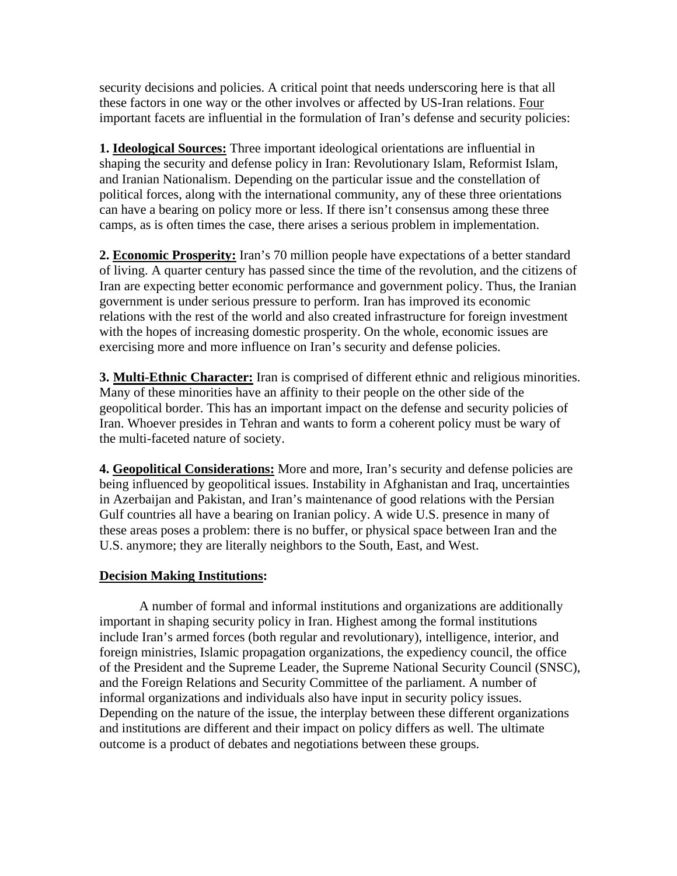security decisions and policies. A critical point that needs underscoring here is that all these factors in one way or the other involves or affected by US-Iran relations. Four important facets are influential in the formulation of Iran's defense and security policies:

**1. Ideological Sources:** Three important ideological orientations are influential in shaping the security and defense policy in Iran: Revolutionary Islam, Reformist Islam, and Iranian Nationalism. Depending on the particular issue and the constellation of political forces, along with the international community, any of these three orientations can have a bearing on policy more or less. If there isn't consensus among these three camps, as is often times the case, there arises a serious problem in implementation.

**2. Economic Prosperity:** Iran's 70 million people have expectations of a better standard of living. A quarter century has passed since the time of the revolution, and the citizens of Iran are expecting better economic performance and government policy. Thus, the Iranian government is under serious pressure to perform. Iran has improved its economic relations with the rest of the world and also created infrastructure for foreign investment with the hopes of increasing domestic prosperity. On the whole, economic issues are exercising more and more influence on Iran's security and defense policies.

**3. Multi-Ethnic Character:** Iran is comprised of different ethnic and religious minorities. Many of these minorities have an affinity to their people on the other side of the geopolitical border. This has an important impact on the defense and security policies of Iran. Whoever presides in Tehran and wants to form a coherent policy must be wary of the multi-faceted nature of society.

**4. Geopolitical Considerations:** More and more, Iran's security and defense policies are being influenced by geopolitical issues. Instability in Afghanistan and Iraq, uncertainties in Azerbaijan and Pakistan, and Iran's maintenance of good relations with the Persian Gulf countries all have a bearing on Iranian policy. A wide U.S. presence in many of these areas poses a problem: there is no buffer, or physical space between Iran and the U.S. anymore; they are literally neighbors to the South, East, and West.

### **Decision Making Institutions:**

A number of formal and informal institutions and organizations are additionally important in shaping security policy in Iran. Highest among the formal institutions include Iran's armed forces (both regular and revolutionary), intelligence, interior, and foreign ministries, Islamic propagation organizations, the expediency council, the office of the President and the Supreme Leader, the Supreme National Security Council (SNSC), and the Foreign Relations and Security Committee of the parliament. A number of informal organizations and individuals also have input in security policy issues. Depending on the nature of the issue, the interplay between these different organizations and institutions are different and their impact on policy differs as well. The ultimate outcome is a product of debates and negotiations between these groups.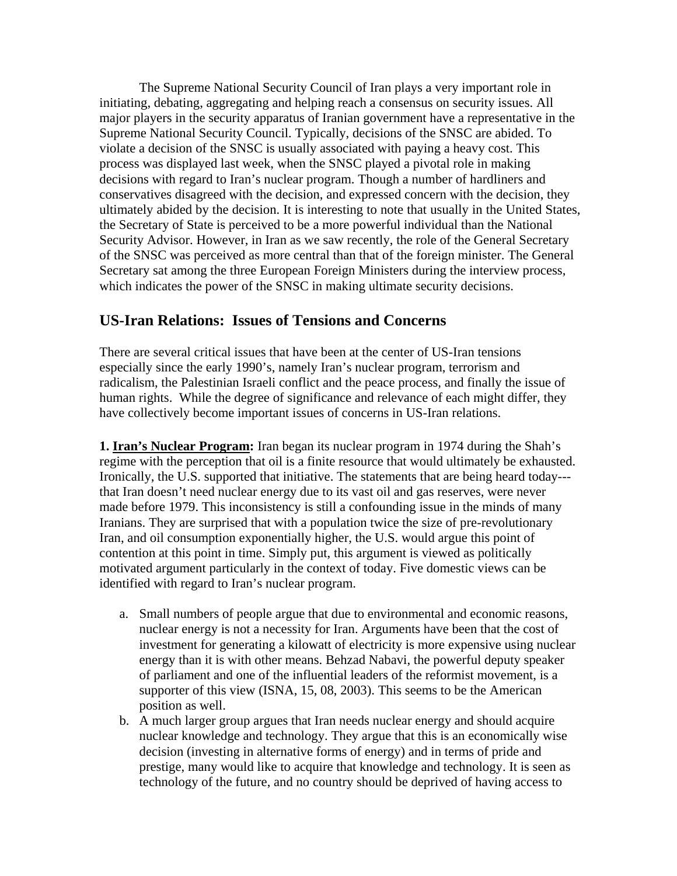The Supreme National Security Council of Iran plays a very important role in initiating, debating, aggregating and helping reach a consensus on security issues. All major players in the security apparatus of Iranian government have a representative in the Supreme National Security Council. Typically, decisions of the SNSC are abided. To violate a decision of the SNSC is usually associated with paying a heavy cost. This process was displayed last week, when the SNSC played a pivotal role in making decisions with regard to Iran's nuclear program. Though a number of hardliners and conservatives disagreed with the decision, and expressed concern with the decision, they ultimately abided by the decision. It is interesting to note that usually in the United States, the Secretary of State is perceived to be a more powerful individual than the National Security Advisor. However, in Iran as we saw recently, the role of the General Secretary of the SNSC was perceived as more central than that of the foreign minister. The General Secretary sat among the three European Foreign Ministers during the interview process, which indicates the power of the SNSC in making ultimate security decisions.

### **US-Iran Relations: Issues of Tensions and Concerns**

There are several critical issues that have been at the center of US-Iran tensions especially since the early 1990's, namely Iran's nuclear program, terrorism and radicalism, the Palestinian Israeli conflict and the peace process, and finally the issue of human rights. While the degree of significance and relevance of each might differ, they have collectively become important issues of concerns in US-Iran relations.

**1. Iran's Nuclear Program:** Iran began its nuclear program in 1974 during the Shah's regime with the perception that oil is a finite resource that would ultimately be exhausted. Ironically, the U.S. supported that initiative. The statements that are being heard today-- that Iran doesn't need nuclear energy due to its vast oil and gas reserves, were never made before 1979. This inconsistency is still a confounding issue in the minds of many Iranians. They are surprised that with a population twice the size of pre-revolutionary Iran, and oil consumption exponentially higher, the U.S. would argue this point of contention at this point in time. Simply put, this argument is viewed as politically motivated argument particularly in the context of today. Five domestic views can be identified with regard to Iran's nuclear program.

- a. Small numbers of people argue that due to environmental and economic reasons, nuclear energy is not a necessity for Iran. Arguments have been that the cost of investment for generating a kilowatt of electricity is more expensive using nuclear energy than it is with other means. Behzad Nabavi, the powerful deputy speaker of parliament and one of the influential leaders of the reformist movement, is a supporter of this view (ISNA, 15, 08, 2003). This seems to be the American position as well.
- b. A much larger group argues that Iran needs nuclear energy and should acquire nuclear knowledge and technology. They argue that this is an economically wise decision (investing in alternative forms of energy) and in terms of pride and prestige, many would like to acquire that knowledge and technology. It is seen as technology of the future, and no country should be deprived of having access to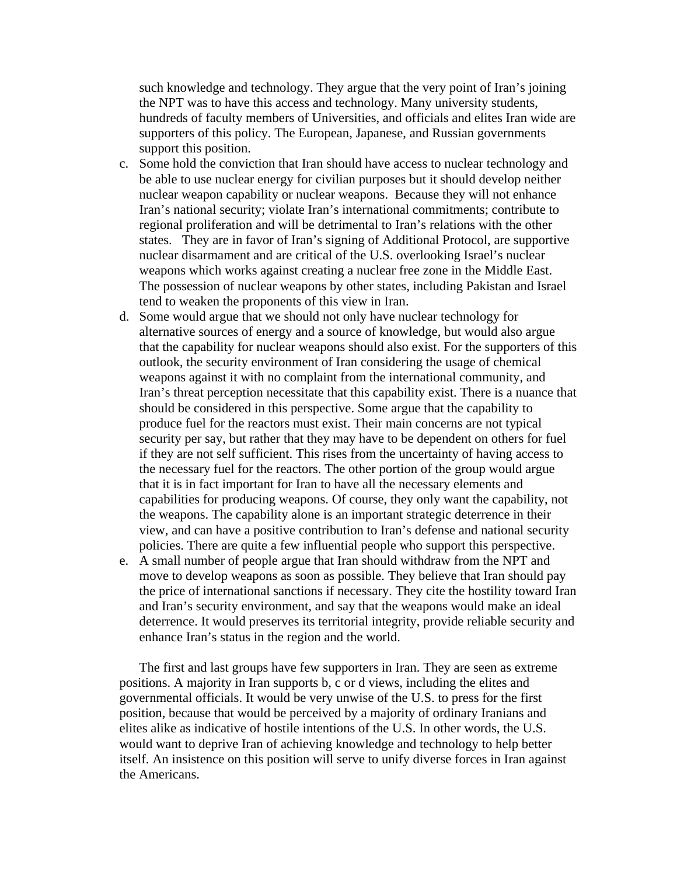such knowledge and technology. They argue that the very point of Iran's joining the NPT was to have this access and technology. Many university students, hundreds of faculty members of Universities, and officials and elites Iran wide are supporters of this policy. The European, Japanese, and Russian governments support this position.

- c. Some hold the conviction that Iran should have access to nuclear technology and be able to use nuclear energy for civilian purposes but it should develop neither nuclear weapon capability or nuclear weapons. Because they will not enhance Iran's national security; violate Iran's international commitments; contribute to regional proliferation and will be detrimental to Iran's relations with the other states. They are in favor of Iran's signing of Additional Protocol, are supportive nuclear disarmament and are critical of the U.S. overlooking Israel's nuclear weapons which works against creating a nuclear free zone in the Middle East. The possession of nuclear weapons by other states, including Pakistan and Israel tend to weaken the proponents of this view in Iran.
- d. Some would argue that we should not only have nuclear technology for alternative sources of energy and a source of knowledge, but would also argue that the capability for nuclear weapons should also exist. For the supporters of this outlook, the security environment of Iran considering the usage of chemical weapons against it with no complaint from the international community, and Iran's threat perception necessitate that this capability exist. There is a nuance that should be considered in this perspective. Some argue that the capability to produce fuel for the reactors must exist. Their main concerns are not typical security per say, but rather that they may have to be dependent on others for fuel if they are not self sufficient. This rises from the uncertainty of having access to the necessary fuel for the reactors. The other portion of the group would argue that it is in fact important for Iran to have all the necessary elements and capabilities for producing weapons. Of course, they only want the capability, not the weapons. The capability alone is an important strategic deterrence in their view, and can have a positive contribution to Iran's defense and national security policies. There are quite a few influential people who support this perspective.
- e. A small number of people argue that Iran should withdraw from the NPT and move to develop weapons as soon as possible. They believe that Iran should pay the price of international sanctions if necessary. They cite the hostility toward Iran and Iran's security environment, and say that the weapons would make an ideal deterrence. It would preserves its territorial integrity, provide reliable security and enhance Iran's status in the region and the world.

The first and last groups have few supporters in Iran. They are seen as extreme positions. A majority in Iran supports b, c or d views, including the elites and governmental officials. It would be very unwise of the U.S. to press for the first position, because that would be perceived by a majority of ordinary Iranians and elites alike as indicative of hostile intentions of the U.S. In other words, the U.S. would want to deprive Iran of achieving knowledge and technology to help better itself. An insistence on this position will serve to unify diverse forces in Iran against the Americans.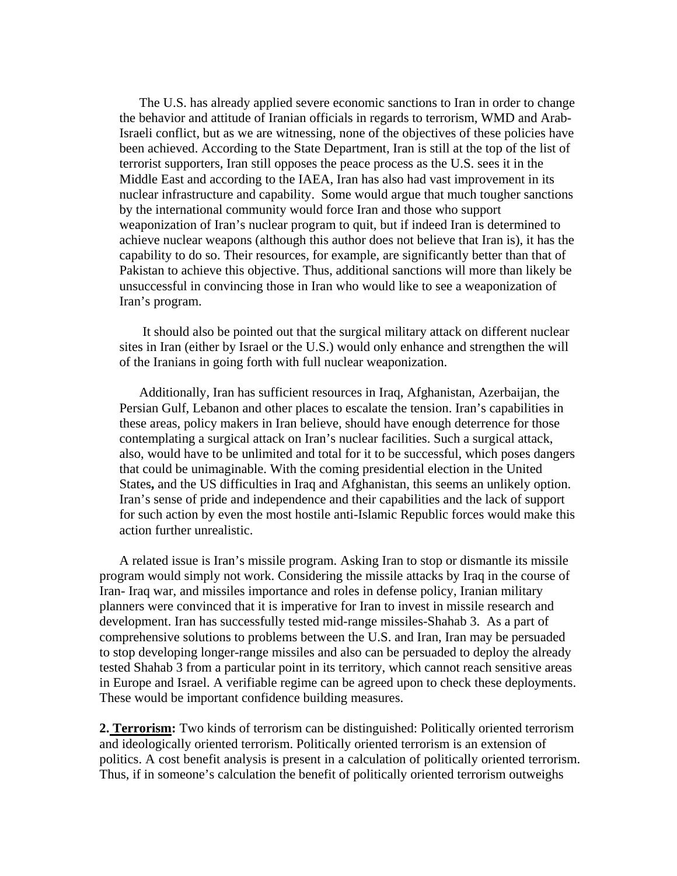The U.S. has already applied severe economic sanctions to Iran in order to change the behavior and attitude of Iranian officials in regards to terrorism, WMD and Arab-Israeli conflict, but as we are witnessing, none of the objectives of these policies have been achieved. According to the State Department, Iran is still at the top of the list of terrorist supporters, Iran still opposes the peace process as the U.S. sees it in the Middle East and according to the IAEA, Iran has also had vast improvement in its nuclear infrastructure and capability. Some would argue that much tougher sanctions by the international community would force Iran and those who support weaponization of Iran's nuclear program to quit, but if indeed Iran is determined to achieve nuclear weapons (although this author does not believe that Iran is), it has the capability to do so. Their resources, for example, are significantly better than that of Pakistan to achieve this objective. Thus, additional sanctions will more than likely be unsuccessful in convincing those in Iran who would like to see a weaponization of Iran's program.

 It should also be pointed out that the surgical military attack on different nuclear sites in Iran (either by Israel or the U.S.) would only enhance and strengthen the will of the Iranians in going forth with full nuclear weaponization.

Additionally, Iran has sufficient resources in Iraq, Afghanistan, Azerbaijan, the Persian Gulf, Lebanon and other places to escalate the tension. Iran's capabilities in these areas, policy makers in Iran believe, should have enough deterrence for those contemplating a surgical attack on Iran's nuclear facilities. Such a surgical attack, also, would have to be unlimited and total for it to be successful, which poses dangers that could be unimaginable. With the coming presidential election in the United States**,** and the US difficulties in Iraq and Afghanistan, this seems an unlikely option. Iran's sense of pride and independence and their capabilities and the lack of support for such action by even the most hostile anti-Islamic Republic forces would make this action further unrealistic.

A related issue is Iran's missile program. Asking Iran to stop or dismantle its missile program would simply not work. Considering the missile attacks by Iraq in the course of Iran- Iraq war, and missiles importance and roles in defense policy, Iranian military planners were convinced that it is imperative for Iran to invest in missile research and development. Iran has successfully tested mid-range missiles-Shahab 3. As a part of comprehensive solutions to problems between the U.S. and Iran, Iran may be persuaded to stop developing longer-range missiles and also can be persuaded to deploy the already tested Shahab 3 from a particular point in its territory, which cannot reach sensitive areas in Europe and Israel. A verifiable regime can be agreed upon to check these deployments. These would be important confidence building measures.

**2. Terrorism:** Two kinds of terrorism can be distinguished: Politically oriented terrorism and ideologically oriented terrorism. Politically oriented terrorism is an extension of politics. A cost benefit analysis is present in a calculation of politically oriented terrorism. Thus, if in someone's calculation the benefit of politically oriented terrorism outweighs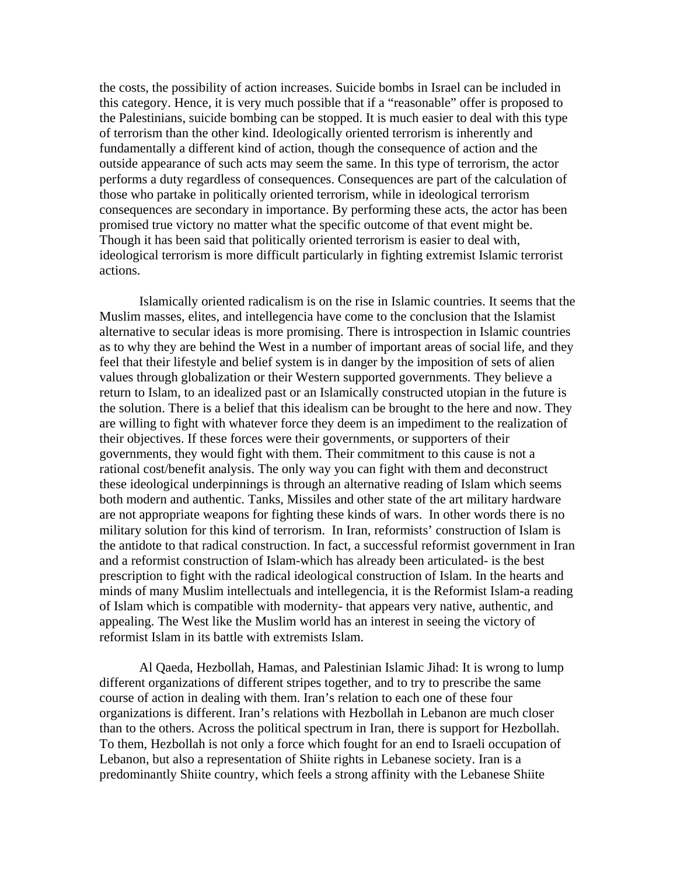the costs, the possibility of action increases. Suicide bombs in Israel can be included in this category. Hence, it is very much possible that if a "reasonable" offer is proposed to the Palestinians, suicide bombing can be stopped. It is much easier to deal with this type of terrorism than the other kind. Ideologically oriented terrorism is inherently and fundamentally a different kind of action, though the consequence of action and the outside appearance of such acts may seem the same. In this type of terrorism, the actor performs a duty regardless of consequences. Consequences are part of the calculation of those who partake in politically oriented terrorism, while in ideological terrorism consequences are secondary in importance. By performing these acts, the actor has been promised true victory no matter what the specific outcome of that event might be. Though it has been said that politically oriented terrorism is easier to deal with, ideological terrorism is more difficult particularly in fighting extremist Islamic terrorist actions.

Islamically oriented radicalism is on the rise in Islamic countries. It seems that the Muslim masses, elites, and intellegencia have come to the conclusion that the Islamist alternative to secular ideas is more promising. There is introspection in Islamic countries as to why they are behind the West in a number of important areas of social life, and they feel that their lifestyle and belief system is in danger by the imposition of sets of alien values through globalization or their Western supported governments. They believe a return to Islam, to an idealized past or an Islamically constructed utopian in the future is the solution. There is a belief that this idealism can be brought to the here and now. They are willing to fight with whatever force they deem is an impediment to the realization of their objectives. If these forces were their governments, or supporters of their governments, they would fight with them. Their commitment to this cause is not a rational cost/benefit analysis. The only way you can fight with them and deconstruct these ideological underpinnings is through an alternative reading of Islam which seems both modern and authentic. Tanks, Missiles and other state of the art military hardware are not appropriate weapons for fighting these kinds of wars. In other words there is no military solution for this kind of terrorism. In Iran, reformists' construction of Islam is the antidote to that radical construction. In fact, a successful reformist government in Iran and a reformist construction of Islam-which has already been articulated- is the best prescription to fight with the radical ideological construction of Islam. In the hearts and minds of many Muslim intellectuals and intellegencia, it is the Reformist Islam-a reading of Islam which is compatible with modernity- that appears very native, authentic, and appealing. The West like the Muslim world has an interest in seeing the victory of reformist Islam in its battle with extremists Islam.

Al Qaeda, Hezbollah, Hamas, and Palestinian Islamic Jihad: It is wrong to lump different organizations of different stripes together, and to try to prescribe the same course of action in dealing with them. Iran's relation to each one of these four organizations is different. Iran's relations with Hezbollah in Lebanon are much closer than to the others. Across the political spectrum in Iran, there is support for Hezbollah. To them, Hezbollah is not only a force which fought for an end to Israeli occupation of Lebanon, but also a representation of Shiite rights in Lebanese society. Iran is a predominantly Shiite country, which feels a strong affinity with the Lebanese Shiite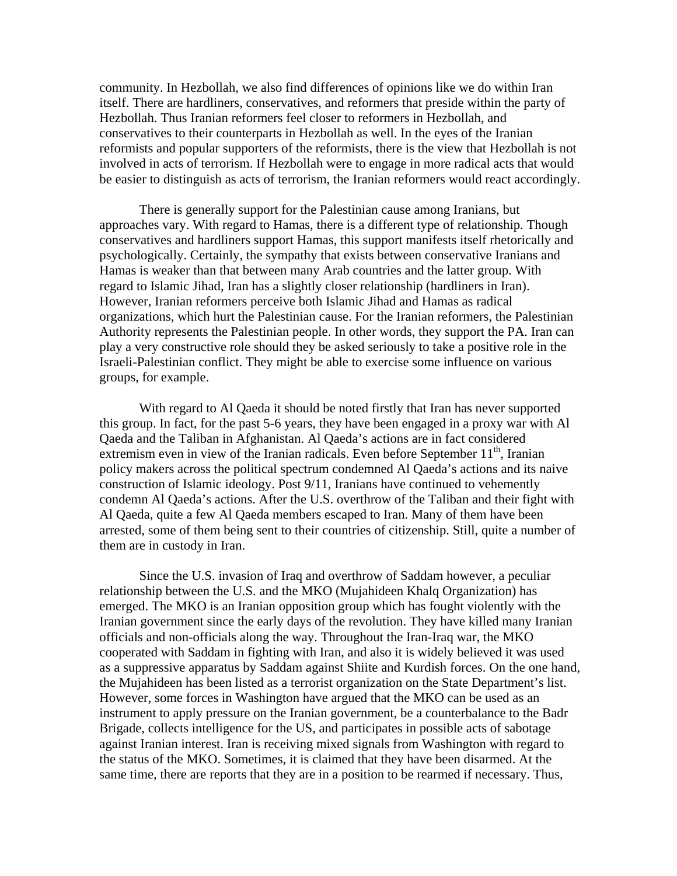community. In Hezbollah, we also find differences of opinions like we do within Iran itself. There are hardliners, conservatives, and reformers that preside within the party of Hezbollah. Thus Iranian reformers feel closer to reformers in Hezbollah, and conservatives to their counterparts in Hezbollah as well. In the eyes of the Iranian reformists and popular supporters of the reformists, there is the view that Hezbollah is not involved in acts of terrorism. If Hezbollah were to engage in more radical acts that would be easier to distinguish as acts of terrorism, the Iranian reformers would react accordingly.

There is generally support for the Palestinian cause among Iranians, but approaches vary. With regard to Hamas, there is a different type of relationship. Though conservatives and hardliners support Hamas, this support manifests itself rhetorically and psychologically. Certainly, the sympathy that exists between conservative Iranians and Hamas is weaker than that between many Arab countries and the latter group. With regard to Islamic Jihad, Iran has a slightly closer relationship (hardliners in Iran). However, Iranian reformers perceive both Islamic Jihad and Hamas as radical organizations, which hurt the Palestinian cause. For the Iranian reformers, the Palestinian Authority represents the Palestinian people. In other words, they support the PA. Iran can play a very constructive role should they be asked seriously to take a positive role in the Israeli-Palestinian conflict. They might be able to exercise some influence on various groups, for example.

With regard to Al Qaeda it should be noted firstly that Iran has never supported this group. In fact, for the past 5-6 years, they have been engaged in a proxy war with Al Qaeda and the Taliban in Afghanistan. Al Qaeda's actions are in fact considered extremism even in view of the Iranian radicals. Even before September  $11<sup>th</sup>$ , Iranian policy makers across the political spectrum condemned Al Qaeda's actions and its naive construction of Islamic ideology. Post 9/11, Iranians have continued to vehemently condemn Al Qaeda's actions. After the U.S. overthrow of the Taliban and their fight with Al Qaeda, quite a few Al Qaeda members escaped to Iran. Many of them have been arrested, some of them being sent to their countries of citizenship. Still, quite a number of them are in custody in Iran.

Since the U.S. invasion of Iraq and overthrow of Saddam however, a peculiar relationship between the U.S. and the MKO (Mujahideen Khalq Organization) has emerged. The MKO is an Iranian opposition group which has fought violently with the Iranian government since the early days of the revolution. They have killed many Iranian officials and non-officials along the way. Throughout the Iran-Iraq war, the MKO cooperated with Saddam in fighting with Iran, and also it is widely believed it was used as a suppressive apparatus by Saddam against Shiite and Kurdish forces. On the one hand, the Mujahideen has been listed as a terrorist organization on the State Department's list. However, some forces in Washington have argued that the MKO can be used as an instrument to apply pressure on the Iranian government, be a counterbalance to the Badr Brigade, collects intelligence for the US, and participates in possible acts of sabotage against Iranian interest. Iran is receiving mixed signals from Washington with regard to the status of the MKO. Sometimes, it is claimed that they have been disarmed. At the same time, there are reports that they are in a position to be rearmed if necessary. Thus,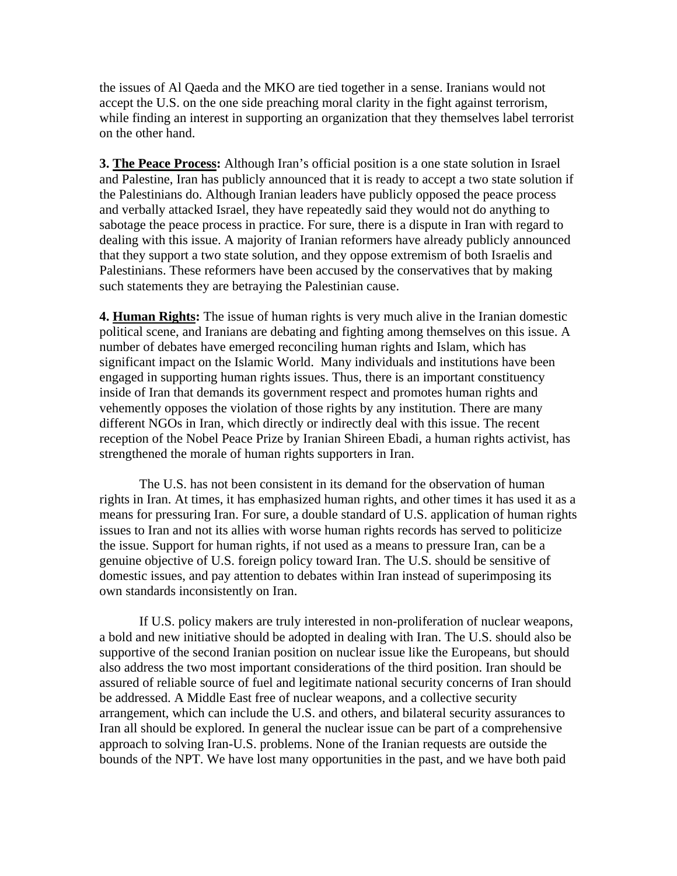the issues of Al Qaeda and the MKO are tied together in a sense. Iranians would not accept the U.S. on the one side preaching moral clarity in the fight against terrorism, while finding an interest in supporting an organization that they themselves label terrorist on the other hand.

**3. The Peace Process:** Although Iran's official position is a one state solution in Israel and Palestine, Iran has publicly announced that it is ready to accept a two state solution if the Palestinians do. Although Iranian leaders have publicly opposed the peace process and verbally attacked Israel, they have repeatedly said they would not do anything to sabotage the peace process in practice. For sure, there is a dispute in Iran with regard to dealing with this issue. A majority of Iranian reformers have already publicly announced that they support a two state solution, and they oppose extremism of both Israelis and Palestinians. These reformers have been accused by the conservatives that by making such statements they are betraying the Palestinian cause.

**4. Human Rights:** The issue of human rights is very much alive in the Iranian domestic political scene, and Iranians are debating and fighting among themselves on this issue. A number of debates have emerged reconciling human rights and Islam, which has significant impact on the Islamic World. Many individuals and institutions have been engaged in supporting human rights issues. Thus, there is an important constituency inside of Iran that demands its government respect and promotes human rights and vehemently opposes the violation of those rights by any institution. There are many different NGOs in Iran, which directly or indirectly deal with this issue. The recent reception of the Nobel Peace Prize by Iranian Shireen Ebadi, a human rights activist, has strengthened the morale of human rights supporters in Iran.

The U.S. has not been consistent in its demand for the observation of human rights in Iran. At times, it has emphasized human rights, and other times it has used it as a means for pressuring Iran. For sure, a double standard of U.S. application of human rights issues to Iran and not its allies with worse human rights records has served to politicize the issue. Support for human rights, if not used as a means to pressure Iran, can be a genuine objective of U.S. foreign policy toward Iran. The U.S. should be sensitive of domestic issues, and pay attention to debates within Iran instead of superimposing its own standards inconsistently on Iran.

If U.S. policy makers are truly interested in non-proliferation of nuclear weapons, a bold and new initiative should be adopted in dealing with Iran. The U.S. should also be supportive of the second Iranian position on nuclear issue like the Europeans, but should also address the two most important considerations of the third position. Iran should be assured of reliable source of fuel and legitimate national security concerns of Iran should be addressed. A Middle East free of nuclear weapons, and a collective security arrangement, which can include the U.S. and others, and bilateral security assurances to Iran all should be explored. In general the nuclear issue can be part of a comprehensive approach to solving Iran-U.S. problems. None of the Iranian requests are outside the bounds of the NPT. We have lost many opportunities in the past, and we have both paid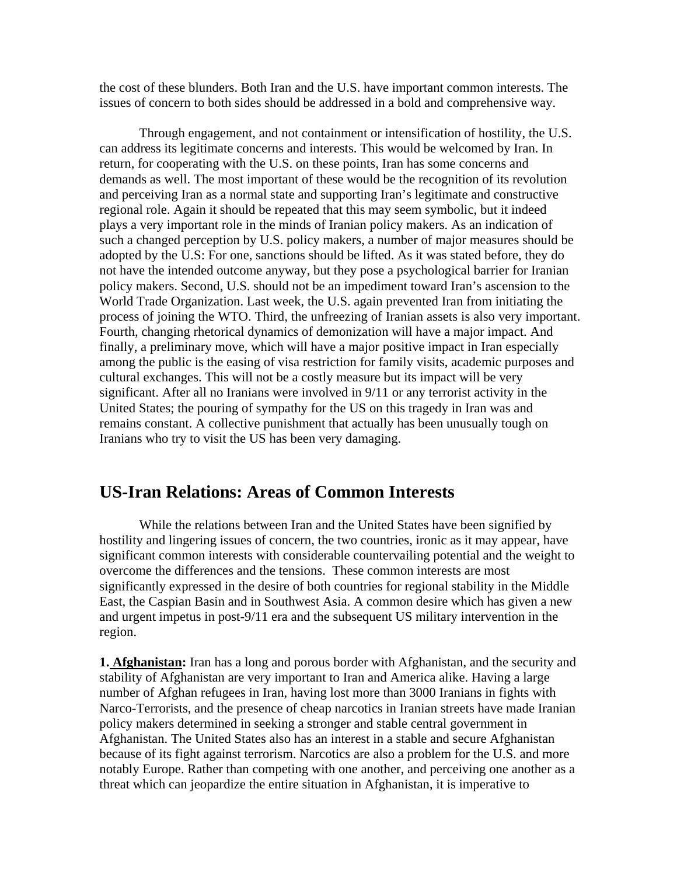the cost of these blunders. Both Iran and the U.S. have important common interests. The issues of concern to both sides should be addressed in a bold and comprehensive way.

Through engagement, and not containment or intensification of hostility, the U.S. can address its legitimate concerns and interests. This would be welcomed by Iran. In return, for cooperating with the U.S. on these points, Iran has some concerns and demands as well. The most important of these would be the recognition of its revolution and perceiving Iran as a normal state and supporting Iran's legitimate and constructive regional role. Again it should be repeated that this may seem symbolic, but it indeed plays a very important role in the minds of Iranian policy makers. As an indication of such a changed perception by U.S. policy makers, a number of major measures should be adopted by the U.S: For one, sanctions should be lifted. As it was stated before, they do not have the intended outcome anyway, but they pose a psychological barrier for Iranian policy makers. Second, U.S. should not be an impediment toward Iran's ascension to the World Trade Organization. Last week, the U.S. again prevented Iran from initiating the process of joining the WTO. Third, the unfreezing of Iranian assets is also very important. Fourth, changing rhetorical dynamics of demonization will have a major impact. And finally, a preliminary move, which will have a major positive impact in Iran especially among the public is the easing of visa restriction for family visits, academic purposes and cultural exchanges. This will not be a costly measure but its impact will be very significant. After all no Iranians were involved in 9/11 or any terrorist activity in the United States; the pouring of sympathy for the US on this tragedy in Iran was and remains constant. A collective punishment that actually has been unusually tough on Iranians who try to visit the US has been very damaging.

## **US-Iran Relations: Areas of Common Interests**

While the relations between Iran and the United States have been signified by hostility and lingering issues of concern, the two countries, ironic as it may appear, have significant common interests with considerable countervailing potential and the weight to overcome the differences and the tensions. These common interests are most significantly expressed in the desire of both countries for regional stability in the Middle East, the Caspian Basin and in Southwest Asia. A common desire which has given a new and urgent impetus in post-9/11 era and the subsequent US military intervention in the region.

**1. Afghanistan:** Iran has a long and porous border with Afghanistan, and the security and stability of Afghanistan are very important to Iran and America alike. Having a large number of Afghan refugees in Iran, having lost more than 3000 Iranians in fights with Narco-Terrorists, and the presence of cheap narcotics in Iranian streets have made Iranian policy makers determined in seeking a stronger and stable central government in Afghanistan. The United States also has an interest in a stable and secure Afghanistan because of its fight against terrorism. Narcotics are also a problem for the U.S. and more notably Europe. Rather than competing with one another, and perceiving one another as a threat which can jeopardize the entire situation in Afghanistan, it is imperative to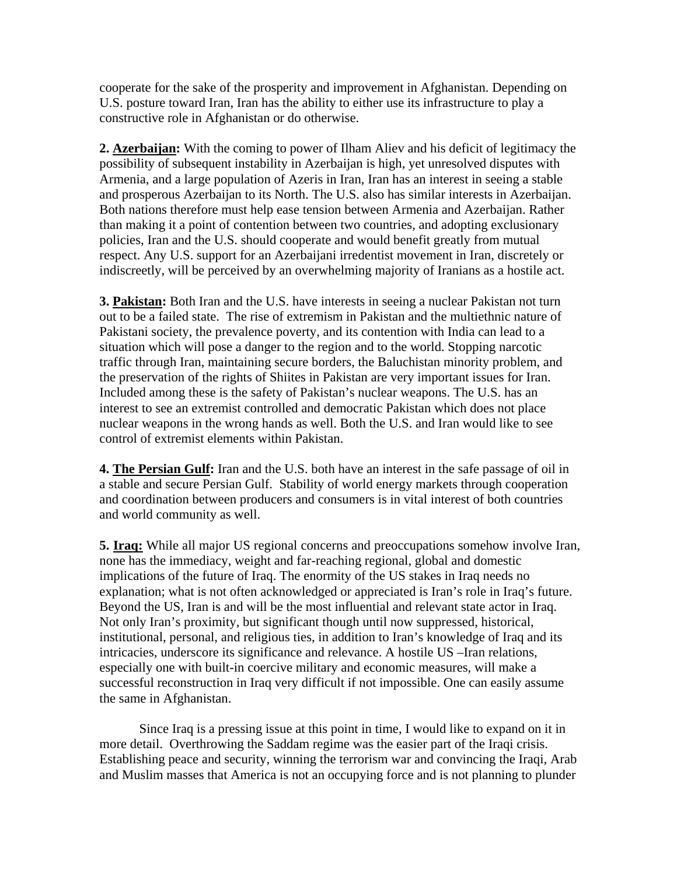cooperate for the sake of the prosperity and improvement in Afghanistan. Depending on U.S. posture toward Iran, Iran has the ability to either use its infrastructure to play a constructive role in Afghanistan or do otherwise.

**2. Azerbaijan:** With the coming to power of Ilham Aliev and his deficit of legitimacy the possibility of subsequent instability in Azerbaijan is high, yet unresolved disputes with Armenia, and a large population of Azeris in Iran, Iran has an interest in seeing a stable and prosperous Azerbaijan to its North. The U.S. also has similar interests in Azerbaijan. Both nations therefore must help ease tension between Armenia and Azerbaijan. Rather than making it a point of contention between two countries, and adopting exclusionary policies, Iran and the U.S. should cooperate and would benefit greatly from mutual respect. Any U.S. support for an Azerbaijani irredentist movement in Iran, discretely or indiscreetly, will be perceived by an overwhelming majority of Iranians as a hostile act.

**3. Pakistan:** Both Iran and the U.S. have interests in seeing a nuclear Pakistan not turn out to be a failed state. The rise of extremism in Pakistan and the multiethnic nature of Pakistani society, the prevalence poverty, and its contention with India can lead to a situation which will pose a danger to the region and to the world. Stopping narcotic traffic through Iran, maintaining secure borders, the Baluchistan minority problem, and the preservation of the rights of Shiites in Pakistan are very important issues for Iran. Included among these is the safety of Pakistan's nuclear weapons. The U.S. has an interest to see an extremist controlled and democratic Pakistan which does not place nuclear weapons in the wrong hands as well. Both the U.S. and Iran would like to see control of extremist elements within Pakistan.

**4. The Persian Gulf:** Iran and the U.S. both have an interest in the safe passage of oil in a stable and secure Persian Gulf. Stability of world energy markets through cooperation and coordination between producers and consumers is in vital interest of both countries and world community as well.

**5. Iraq:** While all major US regional concerns and preoccupations somehow involve Iran, none has the immediacy, weight and far-reaching regional, global and domestic implications of the future of Iraq. The enormity of the US stakes in Iraq needs no explanation; what is not often acknowledged or appreciated is Iran's role in Iraq's future. Beyond the US, Iran is and will be the most influential and relevant state actor in Iraq. Not only Iran's proximity, but significant though until now suppressed, historical, institutional, personal, and religious ties, in addition to Iran's knowledge of Iraq and its intricacies, underscore its significance and relevance. A hostile US –Iran relations, especially one with built-in coercive military and economic measures, will make a successful reconstruction in Iraq very difficult if not impossible. One can easily assume the same in Afghanistan.

Since Iraq is a pressing issue at this point in time, I would like to expand on it in more detail. Overthrowing the Saddam regime was the easier part of the Iraqi crisis. Establishing peace and security, winning the terrorism war and convincing the Iraqi, Arab and Muslim masses that America is not an occupying force and is not planning to plunder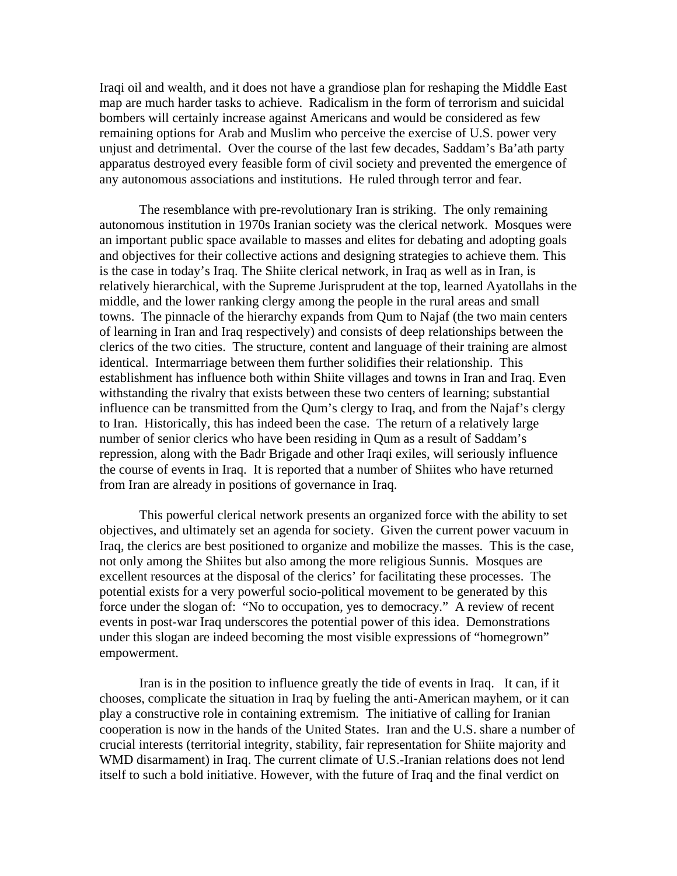Iraqi oil and wealth, and it does not have a grandiose plan for reshaping the Middle East map are much harder tasks to achieve. Radicalism in the form of terrorism and suicidal bombers will certainly increase against Americans and would be considered as few remaining options for Arab and Muslim who perceive the exercise of U.S. power very unjust and detrimental. Over the course of the last few decades, Saddam's Ba'ath party apparatus destroyed every feasible form of civil society and prevented the emergence of any autonomous associations and institutions. He ruled through terror and fear.

The resemblance with pre-revolutionary Iran is striking. The only remaining autonomous institution in 1970s Iranian society was the clerical network. Mosques were an important public space available to masses and elites for debating and adopting goals and objectives for their collective actions and designing strategies to achieve them. This is the case in today's Iraq. The Shiite clerical network, in Iraq as well as in Iran, is relatively hierarchical, with the Supreme Jurisprudent at the top, learned Ayatollahs in the middle, and the lower ranking clergy among the people in the rural areas and small towns. The pinnacle of the hierarchy expands from Qum to Najaf (the two main centers of learning in Iran and Iraq respectively) and consists of deep relationships between the clerics of the two cities. The structure, content and language of their training are almost identical. Intermarriage between them further solidifies their relationship. This establishment has influence both within Shiite villages and towns in Iran and Iraq. Even withstanding the rivalry that exists between these two centers of learning; substantial influence can be transmitted from the Qum's clergy to Iraq, and from the Najaf's clergy to Iran. Historically, this has indeed been the case. The return of a relatively large number of senior clerics who have been residing in Qum as a result of Saddam's repression, along with the Badr Brigade and other Iraqi exiles, will seriously influence the course of events in Iraq. It is reported that a number of Shiites who have returned from Iran are already in positions of governance in Iraq.

This powerful clerical network presents an organized force with the ability to set objectives, and ultimately set an agenda for society. Given the current power vacuum in Iraq, the clerics are best positioned to organize and mobilize the masses. This is the case, not only among the Shiites but also among the more religious Sunnis. Mosques are excellent resources at the disposal of the clerics' for facilitating these processes. The potential exists for a very powerful socio-political movement to be generated by this force under the slogan of: "No to occupation, yes to democracy." A review of recent events in post-war Iraq underscores the potential power of this idea. Demonstrations under this slogan are indeed becoming the most visible expressions of "homegrown" empowerment.

Iran is in the position to influence greatly the tide of events in Iraq. It can, if it chooses, complicate the situation in Iraq by fueling the anti-American mayhem, or it can play a constructive role in containing extremism. The initiative of calling for Iranian cooperation is now in the hands of the United States. Iran and the U.S. share a number of crucial interests (territorial integrity, stability, fair representation for Shiite majority and WMD disarmament) in Iraq. The current climate of U.S.-Iranian relations does not lend itself to such a bold initiative. However, with the future of Iraq and the final verdict on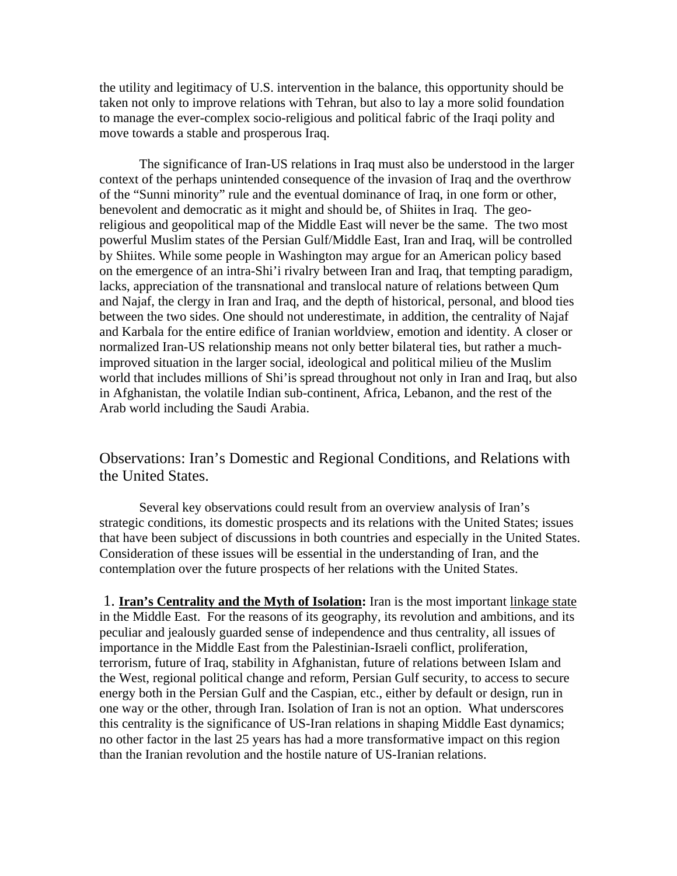the utility and legitimacy of U.S. intervention in the balance, this opportunity should be taken not only to improve relations with Tehran, but also to lay a more solid foundation to manage the ever-complex socio-religious and political fabric of the Iraqi polity and move towards a stable and prosperous Iraq.

The significance of Iran-US relations in Iraq must also be understood in the larger context of the perhaps unintended consequence of the invasion of Iraq and the overthrow of the "Sunni minority" rule and the eventual dominance of Iraq, in one form or other, benevolent and democratic as it might and should be, of Shiites in Iraq. The georeligious and geopolitical map of the Middle East will never be the same. The two most powerful Muslim states of the Persian Gulf/Middle East, Iran and Iraq, will be controlled by Shiites. While some people in Washington may argue for an American policy based on the emergence of an intra-Shi'i rivalry between Iran and Iraq, that tempting paradigm, lacks, appreciation of the transnational and translocal nature of relations between Qum and Najaf, the clergy in Iran and Iraq, and the depth of historical, personal, and blood ties between the two sides. One should not underestimate, in addition, the centrality of Najaf and Karbala for the entire edifice of Iranian worldview, emotion and identity. A closer or normalized Iran-US relationship means not only better bilateral ties, but rather a muchimproved situation in the larger social, ideological and political milieu of the Muslim world that includes millions of Shi'is spread throughout not only in Iran and Iraq, but also in Afghanistan, the volatile Indian sub-continent, Africa, Lebanon, and the rest of the Arab world including the Saudi Arabia.

Observations: Iran's Domestic and Regional Conditions, and Relations with the United States.

Several key observations could result from an overview analysis of Iran's strategic conditions, its domestic prospects and its relations with the United States; issues that have been subject of discussions in both countries and especially in the United States. Consideration of these issues will be essential in the understanding of Iran, and the contemplation over the future prospects of her relations with the United States.

 1. **Iran's Centrality and the Myth of Isolation:** Iran is the most important linkage state in the Middle East. For the reasons of its geography, its revolution and ambitions, and its peculiar and jealously guarded sense of independence and thus centrality, all issues of importance in the Middle East from the Palestinian-Israeli conflict, proliferation, terrorism, future of Iraq, stability in Afghanistan, future of relations between Islam and the West, regional political change and reform, Persian Gulf security, to access to secure energy both in the Persian Gulf and the Caspian, etc., either by default or design, run in one way or the other, through Iran. Isolation of Iran is not an option. What underscores this centrality is the significance of US-Iran relations in shaping Middle East dynamics; no other factor in the last 25 years has had a more transformative impact on this region than the Iranian revolution and the hostile nature of US-Iranian relations.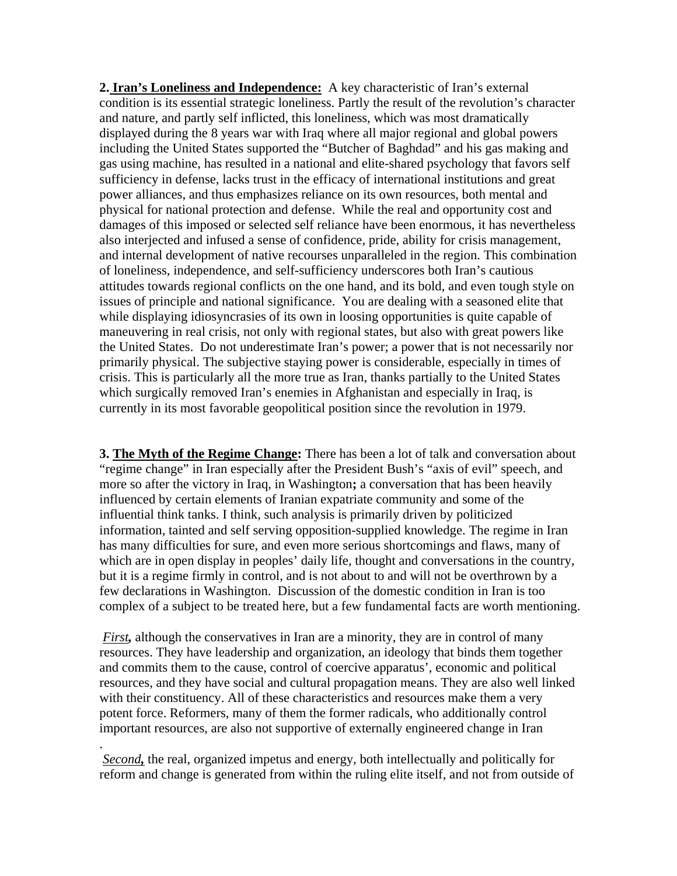**2. Iran's Loneliness and Independence:** A key characteristic of Iran's external condition is its essential strategic loneliness. Partly the result of the revolution's character and nature, and partly self inflicted, this loneliness, which was most dramatically displayed during the 8 years war with Iraq where all major regional and global powers including the United States supported the "Butcher of Baghdad" and his gas making and gas using machine, has resulted in a national and elite-shared psychology that favors self sufficiency in defense, lacks trust in the efficacy of international institutions and great power alliances, and thus emphasizes reliance on its own resources, both mental and physical for national protection and defense. While the real and opportunity cost and damages of this imposed or selected self reliance have been enormous, it has nevertheless also interjected and infused a sense of confidence, pride, ability for crisis management, and internal development of native recourses unparalleled in the region. This combination of loneliness, independence, and self-sufficiency underscores both Iran's cautious attitudes towards regional conflicts on the one hand, and its bold, and even tough style on issues of principle and national significance. You are dealing with a seasoned elite that while displaying idiosyncrasies of its own in loosing opportunities is quite capable of maneuvering in real crisis, not only with regional states, but also with great powers like the United States. Do not underestimate Iran's power; a power that is not necessarily nor primarily physical. The subjective staying power is considerable, especially in times of crisis. This is particularly all the more true as Iran, thanks partially to the United States which surgically removed Iran's enemies in Afghanistan and especially in Iraq, is currently in its most favorable geopolitical position since the revolution in 1979.

**3. The Myth of the Regime Change:** There has been a lot of talk and conversation about "regime change" in Iran especially after the President Bush's "axis of evil" speech, and more so after the victory in Iraq, in Washington**;** a conversation that has been heavily influenced by certain elements of Iranian expatriate community and some of the influential think tanks. I think, such analysis is primarily driven by politicized information, tainted and self serving opposition-supplied knowledge. The regime in Iran has many difficulties for sure, and even more serious shortcomings and flaws, many of which are in open display in peoples' daily life, thought and conversations in the country, but it is a regime firmly in control, and is not about to and will not be overthrown by a few declarations in Washington. Discussion of the domestic condition in Iran is too complex of a subject to be treated here, but a few fundamental facts are worth mentioning.

*First*, although the conservatives in Iran are a minority, they are in control of many resources. They have leadership and organization, an ideology that binds them together and commits them to the cause, control of coercive apparatus', economic and political resources, and they have social and cultural propagation means. They are also well linked with their constituency. All of these characteristics and resources make them a very potent force. Reformers, many of them the former radicals, who additionally control important resources, are also not supportive of externally engineered change in Iran

*Second,* the real, organized impetus and energy, both intellectually and politically for reform and change is generated from within the ruling elite itself, and not from outside of

.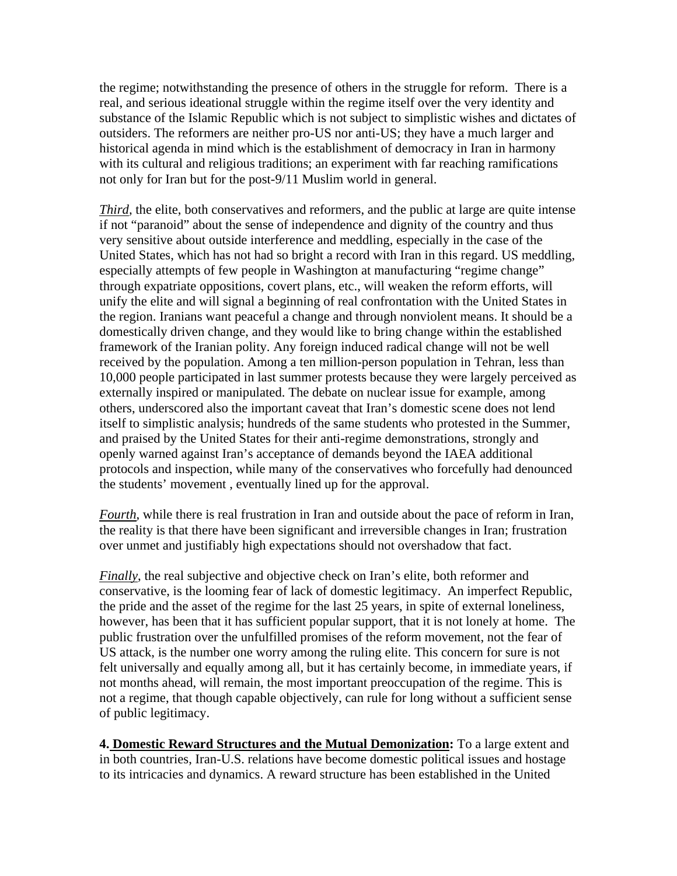the regime; notwithstanding the presence of others in the struggle for reform. There is a real, and serious ideational struggle within the regime itself over the very identity and substance of the Islamic Republic which is not subject to simplistic wishes and dictates of outsiders. The reformers are neither pro-US nor anti-US; they have a much larger and historical agenda in mind which is the establishment of democracy in Iran in harmony with its cultural and religious traditions; an experiment with far reaching ramifications not only for Iran but for the post-9/11 Muslim world in general.

*Third*, the elite, both conservatives and reformers, and the public at large are quite intense if not "paranoid" about the sense of independence and dignity of the country and thus very sensitive about outside interference and meddling, especially in the case of the United States, which has not had so bright a record with Iran in this regard. US meddling, especially attempts of few people in Washington at manufacturing "regime change" through expatriate oppositions, covert plans, etc., will weaken the reform efforts, will unify the elite and will signal a beginning of real confrontation with the United States in the region. Iranians want peaceful a change and through nonviolent means. It should be a domestically driven change, and they would like to bring change within the established framework of the Iranian polity. Any foreign induced radical change will not be well received by the population. Among a ten million-person population in Tehran, less than 10,000 people participated in last summer protests because they were largely perceived as externally inspired or manipulated. The debate on nuclear issue for example, among others, underscored also the important caveat that Iran's domestic scene does not lend itself to simplistic analysis; hundreds of the same students who protested in the Summer, and praised by the United States for their anti-regime demonstrations, strongly and openly warned against Iran's acceptance of demands beyond the IAEA additional protocols and inspection, while many of the conservatives who forcefully had denounced the students' movement , eventually lined up for the approval.

*Fourth*, while there is real frustration in Iran and outside about the pace of reform in Iran, the reality is that there have been significant and irreversible changes in Iran; frustration over unmet and justifiably high expectations should not overshadow that fact.

*Finally*, the real subjective and objective check on Iran's elite, both reformer and conservative, is the looming fear of lack of domestic legitimacy. An imperfect Republic, the pride and the asset of the regime for the last 25 years, in spite of external loneliness, however, has been that it has sufficient popular support, that it is not lonely at home. The public frustration over the unfulfilled promises of the reform movement, not the fear of US attack, is the number one worry among the ruling elite. This concern for sure is not felt universally and equally among all, but it has certainly become, in immediate years, if not months ahead, will remain, the most important preoccupation of the regime. This is not a regime, that though capable objectively, can rule for long without a sufficient sense of public legitimacy.

**4. Domestic Reward Structures and the Mutual Demonization:** To a large extent and in both countries, Iran-U.S. relations have become domestic political issues and hostage to its intricacies and dynamics. A reward structure has been established in the United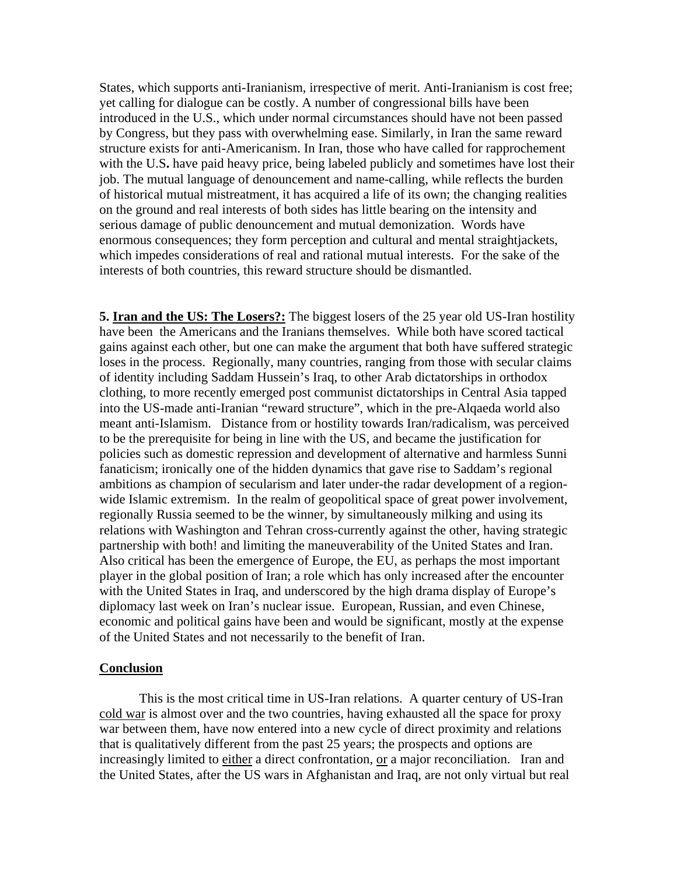States, which supports anti-Iranianism, irrespective of merit. Anti-Iranianism is cost free; yet calling for dialogue can be costly. A number of congressional bills have been introduced in the U.S., which under normal circumstances should have not been passed by Congress, but they pass with overwhelming ease. Similarly, in Iran the same reward structure exists for anti-Americanism. In Iran, those who have called for rapprochement with the U.S**.** have paid heavy price, being labeled publicly and sometimes have lost their job. The mutual language of denouncement and name-calling, while reflects the burden of historical mutual mistreatment, it has acquired a life of its own; the changing realities on the ground and real interests of both sides has little bearing on the intensity and serious damage of public denouncement and mutual demonization. Words have enormous consequences; they form perception and cultural and mental straightjackets, which impedes considerations of real and rational mutual interests. For the sake of the interests of both countries, this reward structure should be dismantled.

**5. Iran and the US: The Losers?:** The biggest losers of the 25 year old US-Iran hostility have been the Americans and the Iranians themselves. While both have scored tactical gains against each other, but one can make the argument that both have suffered strategic loses in the process. Regionally, many countries, ranging from those with secular claims of identity including Saddam Hussein's Iraq, to other Arab dictatorships in orthodox clothing, to more recently emerged post communist dictatorships in Central Asia tapped into the US-made anti-Iranian "reward structure", which in the pre-Alqaeda world also meant anti-Islamism. Distance from or hostility towards Iran/radicalism, was perceived to be the prerequisite for being in line with the US, and became the justification for policies such as domestic repression and development of alternative and harmless Sunni fanaticism; ironically one of the hidden dynamics that gave rise to Saddam's regional ambitions as champion of secularism and later under-the radar development of a regionwide Islamic extremism. In the realm of geopolitical space of great power involvement, regionally Russia seemed to be the winner, by simultaneously milking and using its relations with Washington and Tehran cross-currently against the other, having strategic partnership with both! and limiting the maneuverability of the United States and Iran. Also critical has been the emergence of Europe, the EU, as perhaps the most important player in the global position of Iran; a role which has only increased after the encounter with the United States in Iraq, and underscored by the high drama display of Europe's diplomacy last week on Iran's nuclear issue. European, Russian, and even Chinese, economic and political gains have been and would be significant, mostly at the expense of the United States and not necessarily to the benefit of Iran.

#### **Conclusion**

This is the most critical time in US-Iran relations. A quarter century of US-Iran cold war is almost over and the two countries, having exhausted all the space for proxy war between them, have now entered into a new cycle of direct proximity and relations that is qualitatively different from the past 25 years; the prospects and options are increasingly limited to either a direct confrontation, or a major reconciliation. Iran and the United States, after the US wars in Afghanistan and Iraq, are not only virtual but real